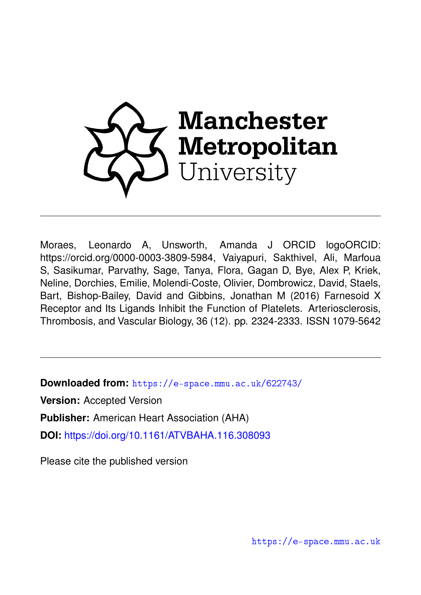

Moraes, Leonardo A, Unsworth, Amanda J ORCID logoORCID: https://orcid.org/0000-0003-3809-5984, Vaiyapuri, Sakthivel, Ali, Marfoua S, Sasikumar, Parvathy, Sage, Tanya, Flora, Gagan D, Bye, Alex P, Kriek, Neline, Dorchies, Emilie, Molendi-Coste, Olivier, Dombrowicz, David, Staels, Bart, Bishop-Bailey, David and Gibbins, Jonathan M (2016) Farnesoid X Receptor and Its Ligands Inhibit the Function of Platelets. Arteriosclerosis, Thrombosis, and Vascular Biology, 36 (12). pp. 2324-2333. ISSN 1079-5642

**Downloaded from:** <https://e-space.mmu.ac.uk/622743/>

**Version:** Accepted Version

**Publisher:** American Heart Association (AHA)

**DOI:** <https://doi.org/10.1161/ATVBAHA.116.308093>

Please cite the published version

<https://e-space.mmu.ac.uk>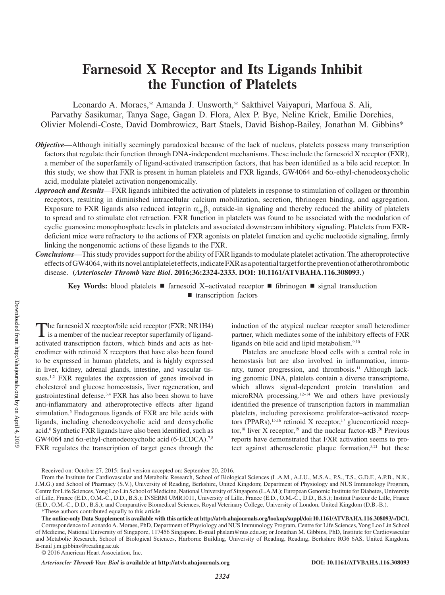# **Farnesoid X Receptor and Its Ligands Inhibit the Function of Platelets**

Leonardo A. Moraes,\* Amanda J. Unsworth,\* Sakthivel Vaiyapuri, Marfoua S. Ali, Parvathy Sasikumar, Tanya Sage, Gagan D. Flora, Alex P. Bye, Neline Kriek, Emilie Dorchies, Olivier Molendi-Coste, David Dombrowicz, Bart Staels, David Bishop-Bailey, Jonathan M. Gibbins\*

- *Objective—Although initially seemingly paradoxical because of the lack of nucleus, platelets possess many transcription* factors that regulate their function through DNA-independent mechanisms. These include the farnesoid X receptor (FXR), a member of the superfamily of ligand-activated transcription factors, that has been identified as a bile acid receptor. In this study, we show that FXR is present in human platelets and FXR ligands, GW4064 and 6α-ethyl-chenodeoxycholic acid, modulate platelet activation nongenomically.
- *Approach and Results*—FXR ligands inhibited the activation of platelets in response to stimulation of collagen or thrombin receptors, resulting in diminished intracellular calcium mobilization, secretion, fibrinogen binding, and aggregation. Exposure to FXR ligands also reduced integrin  $\alpha_{IB}\beta_3$  outside-in signaling and thereby reduced the ability of platelets to spread and to stimulate clot retraction. FXR function in platelets was found to be associated with the modulation of cyclic guanosine monophosphate levels in platelets and associated downstream inhibitory signaling. Platelets from FXRdeficient mice were refractory to the actions of FXR agonists on platelet function and cyclic nucleotide signaling, firmly linking the nongenomic actions of these ligands to the FXR.
- *Conclusions*—This study provides support for the ability of FXR ligands to modulate platelet activation. The atheroprotective effects of GW4064, with its novel antiplatelet effects, indicate FXR as a potential target for the prevention of atherothrombotic disease. **(***Arterioscler Thromb Vasc Biol***. 2016;36:2324-2333. DOI: 10.1161/ATVBAHA.116.308093.)**

**Key Words:** blood platelets ■ farnesoid X-activated receptor ■ fibrinogen ■ signal transduction ■ transcription factors

The farnesoid X receptor/bile acid receptor (FXR; NR1H4) is a member of the nuclear receptor superfamily of ligandactivated transcription factors, which binds and acts as heterodimer with retinoid X receptors that have also been found to be expressed in human platelets, and is highly expressed in liver, kidney, adrenal glands, intestine, and vascular tissues.<sup>1,2</sup> FXR regulates the expression of genes involved in cholesterol and glucose homeostasis, liver regeneration, and gastrointestinal defense.3,4 FXR has also been shown to have anti-inflammatory and atheroprotective effects after ligand stimulation.<sup>5</sup> Endogenous ligands of FXR are bile acids with ligands, including chenodeoxycholic acid and deoxycholic acid.6 Synthetic FXR ligands have also been identified, such as GW4064 and  $6\alpha$ -ethyl-chenodeoxycholic acid (6-ECDCA).<sup>7,8</sup> FXR regulates the transcription of target genes through the

induction of the atypical nuclear receptor small heterodimer partner, which mediates some of the inhibitory effects of FXR ligands on bile acid and lipid metabolism.<sup>9,10</sup>

Platelets are anucleate blood cells with a central role in hemostasis but are also involved in inflammation, immunity, tumor progression, and thrombosis.11 Although lacking genomic DNA, platelets contain a diverse transcriptome, which allows signal-dependent protein translation and microRNA processing.<sup>12–14</sup> We and others have previously identified the presence of transcription factors in mammalian platelets, including peroxisome proliferator–activated receptors (PPARs),<sup>15,16</sup> retinoid X receptor,<sup>17</sup> glucocorticoid receptor,<sup>18</sup> liver X receptor,<sup>19</sup> and the nuclear factor-κB.<sup>20</sup> Previous reports have demonstrated that FXR activation seems to protect against atherosclerotic plaque formation,<sup>5,21</sup> but these

*Arterioscler Thromb Vasc Biol* **is available at http://atvb.ahajournals.org DOI: 10.1161/ATVBAHA.116.308093**

Received on: October 27, 2015; final version accepted on: September 20, 2016.

From the Institute for Cardiovascular and Metabolic Research, School of Biological Sciences (L.A.M., A.J.U., M.S.A., P.S., T.S., G.D.F., A.P.B., N.K., J.M.G.) and School of Pharmacy (S.V.), University of Reading, Berkshire, United Kingdom; Department of Physiology and NUS Immunology Program, Centre for Life Sciences, Yong Loo Lin School of Medicine, National University of Singapore (L.A.M.); European Genomic Institute for Diabetes, University of Lille, France (E.D., O.M.-C., D.D., B.S.); INSERM UMR1011, University of Lille, France (E.D., O.M.-C., D.D., B.S.); Institut Pasteur de Lille, France (E.D., O.M.-C., D.D., B.S.); and Comparative Biomedical Sciences, Royal Veterinary College, University of London, United Kingdom (D.B.-B.). \*These authors contributed equally to this article.

**The online-only Data Supplement is available with this article at http://atvb.ahajournals.org/lookup/suppl/doi:10.1161/ATVBAHA.116.308093/-/DC1.** Correspondence to Leonardo A. Moraes, PhD, Department of Physiology and NUS Immunology Program, Centre for Life Sciences, Yong Loo Lin School of Medicine, National University of Singapore, 117456 Singapore. E-mail [phslam@nus.edu.sg](mailto:phslam@nus.edu.sg); or Jonathan M. Gibbins, PhD, Institute for Cardiovascular and Metabolic Research, School of Biological Sciences, Harborne Building, University of Reading, Reading, Berkshire RG6 6AS, United Kingdom. E-mail [j.m.gibbins@reading.ac.uk](mailto:j.m.gibbins@reading.ac.uk)

<sup>© 2016</sup> American Heart Association, Inc.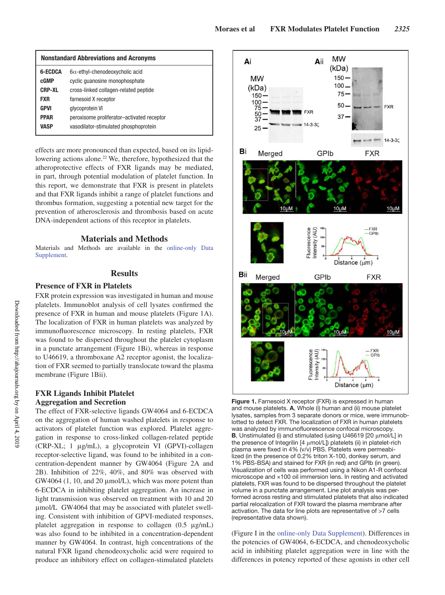| <b>Nonstandard Abbreviations and Acronyms</b> |                                            |
|-----------------------------------------------|--------------------------------------------|
| 6-ECDCA                                       | $6\alpha$ -ethyl-chenodeoxycholic acid     |
| cGMP                                          | cyclic quanosine monophosphate             |
| <b>CRP-XL</b>                                 | cross-linked collagen-related peptide      |
| <b>FXR</b>                                    | farnesoid X receptor                       |
| GPVI                                          | glycoprotein VI                            |
| <b>PPAR</b>                                   | peroxisome proliferator-activated receptor |
| VASP                                          | vasodilator-stimulated phosphoprotein      |

effects are more pronounced than expected, based on its lipidlowering actions alone.22 We, therefore, hypothesized that the atheroprotective effects of FXR ligands may be mediated, in part, through potential modulation of platelet function. In this report, we demonstrate that FXR is present in platelets and that FXR ligands inhibit a range of platelet functions and thrombus formation, suggesting a potential new target for the prevention of atherosclerosis and thrombosis based on acute DNA-independent actions of this receptor in platelets.

## **Materials and Methods**

Materials and Methods are available in the online-only Data Supplement.

# **Results**

# **Presence of FXR in Platelets**

FXR protein expression was investigated in human and mouse platelets. Immunoblot analysis of cell lysates confirmed the presence of FXR in human and mouse platelets (Figure 1A). The localization of FXR in human platelets was analyzed by immunofluorescence microscopy. In resting platelets, FXR was found to be dispersed throughout the platelet cytoplasm in a punctate arrangement (Figure 1Bi), whereas in response to U46619, a thromboxane A2 receptor agonist, the localization of FXR seemed to partially translocate toward the plasma membrane (Figure 1Bii).

#### **FXR Ligands Inhibit Platelet Aggregation and Secretion**

The effect of FXR-selective ligands GW4064 and 6-ECDCA on the aggregation of human washed platelets in response to activators of platelet function was explored. Platelet aggregation in response to cross-linked collagen-related peptide (CRP-XL; 1 μg/mL), a glycoprotein VI (GPVI)-collagen receptor-selective ligand, was found to be inhibited in a concentration-dependent manner by GW4064 (Figure 2A and 2B). Inhibition of 22%, 40%, and 80% was observed with GW4064 (1, 10, and 20 μmol/L), which was more potent than 6-ECDCA in inhibiting platelet aggregation. An increase in light transmission was observed on treatment with 10 and 20 μmol/L GW4064 that may be associated with platelet swelling. Consistent with inhibition of GPVI-mediated responses, platelet aggregation in response to collagen (0.5 μg/mL) was also found to be inhibited in a concentration-dependent manner by GW4064. In contrast, high concentrations of the natural FXR ligand chenodeoxycholic acid were required to produce an inhibitory effect on collagen-stimulated platelets



**Figure 1.** Farnesoid X receptor (FXR) is expressed in human and mouse platelets. **A**, Whole (i) human and (ii) mouse platelet lysates, samples from 3 separate donors or mice, were immunoblotted to detect FXR. The localization of FXR in human platelets was analyzed by immunofluorescence confocal microscopy. **B**, Unstimulated (i) and stimulated (using U46619 [20 μmol/L] in the presence of Integrilin [4 μmol/L]) platelets (ii) in platelet-rich plasma were fixed in 4% (v/v) PBS. Platelets were permeabilized (in the presence of 0.2% triton X-100, donkey serum, and 1% PBS-BSA) and stained for FXR (in red) and GPIb (in green). Visualization of cells was performed using a Nikon A1-R confocal microscope and ×100 oil immersion lens. In resting and activated platelets, FXR was found to be dispersed throughout the platelet volume in a punctate arrangement. Line plot analysis was performed across resting and stimulated platelets that also indicated partial relocalization of FXR toward the plasma membrane after activation. The data for line plots are representative of >7 cells (representative data shown).

(Figure I in the online-only Data Supplement). Differences in the potencies of GW4064, 6-ECDCA, and chenodeoxycholic acid in inhibiting platelet aggregation were in line with the differences in potency reported of these agonists in other cell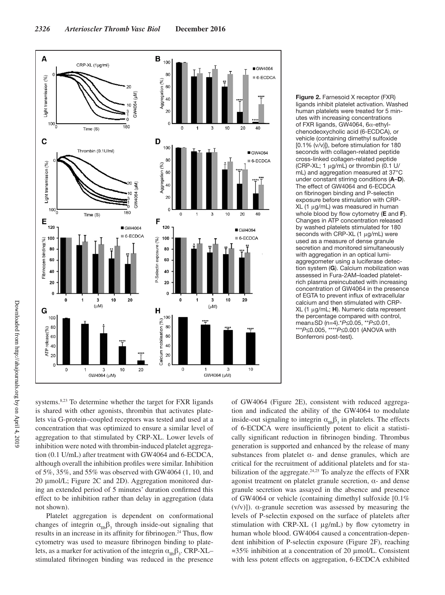

**Figure 2.** Farnesoid X receptor (FXR) ligands inhibit platelet activation. Washed human platelets were treated for 5 minutes with increasing concentrations of FXR ligands, GW4064, 6α-ethylchenodeoxycholic acid (6-ECDCA), or vehicle (containing dimethyl sulfoxide [0.1% (v/v)]), before stimulation for 180 seconds with collagen-related peptide cross-linked collagen-related peptide (CRP-XL; 1 μg/mL) or thrombin (0.1 U/ mL) and aggregation measured at 37°C under constant stirring conditions (**A**–**D**). The effect of GW4064 and 6-ECDCA on fibrinogen binding and P-selectin exposure before stimulation with CRP-XL (1 μg/mL) was measured in human whole blood by flow cytometry (**E** and **F**). Changes in ATP concentration released by washed platelets stimulated for 180 seconds with CRP-XL (1 μg/mL) were used as a measure of dense granule secretion and monitored simultaneously with aggregation in an optical lumiaggregometer using a luciferase detection system (**G**). Calcium mobilization was assessed in Fura-2AM–loaded plateletrich plasma preincubated with increasing concentration of GW4064 in the presence of EGTA to prevent influx of extracellular calcium and then stimulated with CRP-XL (1 μg/mL; **H**). Numeric data represent the percentage compared with control, mean±SD (n=4).\**P*≤0.05, \*\**P*≤0.01, \*\*\**P*≤0.005, \*\*\*\**P*≤0.001 (ANOVA with Bonferroni post-test).

systems.<sup>8,23</sup> To determine whether the target for FXR ligands is shared with other agonists, thrombin that activates platelets via G-protein–coupled receptors was tested and used at a concentration that was optimized to ensure a similar level of aggregation to that stimulated by CRP-XL. Lower levels of inhibition were noted with thrombin-induced platelet aggregation (0.1 U/mL) after treatment with GW4064 and 6-ECDCA, although overall the inhibition profiles were similar. Inhibition of 5%, 35%, and 55% was observed with GW4064 (1, 10, and 20 μmol/L; Figure 2C and 2D). Aggregation monitored during an extended period of 5 minutes' duration confirmed this effect to be inhibition rather than delay in aggregation (data not shown).

Platelet aggregation is dependent on conformational changes of integrin  $\alpha_{\text{IIb}}\beta_3$  through inside-out signaling that results in an increase in its affinity for fibrinogen.<sup>24</sup> Thus, flow cytometry was used to measure fibrinogen binding to platelets, as a marker for activation of the integrin  $\alpha_{\text{IIb}}\beta_3$ . CRP-XL– stimulated fibrinogen binding was reduced in the presence

of GW4064 (Figure 2E), consistent with reduced aggregation and indicated the ability of the GW4064 to modulate inside-out signaling to integrin  $\alpha_{\text{In}}\beta_3$  in platelets. The effects of 6-ECDCA were insufficiently potent to elicit a statistically significant reduction in fibrinogen binding. Thrombus generation is supported and enhanced by the release of many substances from platelet  $\alpha$ - and dense granules, which are critical for the recruitment of additional platelets and for stabilization of the aggregate.<sup>24,25</sup> To analyze the effects of FXR agonist treatment on platelet granule secretion,  $\alpha$ - and dense granule secretion was assayed in the absence and presence of GW4064 or vehicle (containing dimethyl sulfoxide [0.1%  $(v/v)$ ]).  $\alpha$ -granule secretion was assessed by measuring the levels of P-selectin exposed on the surface of platelets after stimulation with CRP-XL (1 μg/mL) by flow cytometry in human whole blood. GW4064 caused a concentration-dependent inhibition of P-selectin exposure (Figure 2F), reaching ≈35% inhibition at a concentration of 20 μmol/L. Consistent with less potent effects on aggregation, 6-ECDCA exhibited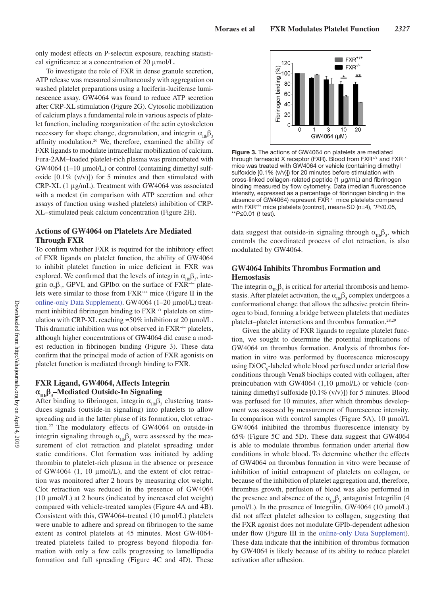only modest effects on P-selectin exposure, reaching statistical significance at a concentration of 20 μmol/L.

To investigate the role of FXR in dense granule secretion, ATP release was measured simultaneously with aggregation on washed platelet preparations using a luciferin-luciferase luminescence assay. GW4064 was found to reduce ATP secretion after CRP-XL stimulation (Figure 2G). Cytosolic mobilization of calcium plays a fundamental role in various aspects of platelet function, including reorganization of the actin cytoskeleton necessary for shape change, degranulation, and integrin  $\alpha_{\text{m}}\beta_3$ affinity modulation.26 We, therefore, examined the ability of FXR ligands to modulate intracellular mobilization of calcium. Fura-2AM–loaded platelet-rich plasma was preincubated with GW4064 (1–10 μmol/L) or control (containing dimethyl sulfoxide  $[0.1\%$  (v/v)]) for 5 minutes and then stimulated with CRP-XL (1 μg/mL). Treatment with GW4064 was associated with a modest (in comparison with ATP secretion and other assays of function using washed platelets) inhibition of CRP-XL–stimulated peak calcium concentration (Figure 2H).

## **Actions of GW4064 on Platelets Are Mediated Through FXR**

To confirm whether FXR is required for the inhibitory effect of FXR ligands on platelet function, the ability of GW4064 to inhibit platelet function in mice deficient in FXR was explored. We confirmed that the levels of integrin  $\alpha_{\text{mb}}\beta_3$ , integrin  $\alpha_2\beta_1$ , GPVI, and GPIb $\alpha$  on the surface of FXR<sup>-/-</sup> platelets were similar to those from FXR+/+ mice (Figure II in the online-only Data Supplement). GW4064 (1–20 μmol/L) treatment inhibited fibrinogen binding to FXR+/+ platelets on stimulation with CRP-XL reaching ≈50% inhibition at 20 μmol/L. This dramatic inhibition was not observed in FXR<sup>-/−</sup> platelets, although higher concentrations of GW4064 did cause a modest reduction in fibrinogen binding (Figure 3). These data confirm that the principal mode of action of FXR agonists on platelet function is mediated through binding to FXR.

# **FXR Ligand, GW4064, Affects Integrin αIIbβ<sup>3</sup> –Mediated Outside-In Signaling**

After binding to fibrinogen, integrin  $\alpha_{\text{IB}}\beta_3$  clustering transduces signals (outside-in signaling) into platelets to allow spreading and in the latter phase of its formation, clot retraction.27 The modulatory effects of GW4064 on outside-in integrin signaling through  $\alpha_{IB}\beta_3$  were assessed by the measurement of clot retraction and platelet spreading under static conditions. Clot formation was initiated by adding thrombin to platelet-rich plasma in the absence or presence of GW4064 (1, 10 μmol/L), and the extent of clot retraction was monitored after 2 hours by measuring clot weight. Clot retraction was reduced in the presence of GW4064 (10 μmol/L) at 2 hours (indicated by increased clot weight) compared with vehicle-treated samples (Figure 4A and 4B). Consistent with this, GW4064-treated (10 μmol/L) platelets were unable to adhere and spread on fibrinogen to the same extent as control platelets at 45 minutes. Most GW4064 treated platelets failed to progress beyond filopodia formation with only a few cells progressing to lamellipodia formation and full spreading (Figure 4C and 4D). These



**Figure 3.** The actions of GW4064 on platelets are mediated through farnesoid X receptor (FXR). Blood from FXR+/+ and FXR−/− mice was treated with GW4064 or vehicle (containing dimethyl sulfoxide [0.1% (v/v)]) for 20 minutes before stimulation with cross-linked collagen-related peptide (1 μg/mL) and fibrinogen binding measured by flow cytometry. Data (median fluorescence intensity, expressed as a percentage of fibrinogen binding in the absence of GW4064) represent FXR−/− mice platelets compared with FXR+/+ mice platelets (control), mean±SD (n=4), \**P*≤0.05, \*\**P*≤0.01 (*t* test).

data suggest that outside-in signaling through  $\alpha_{\text{IIb}}\beta_3$ , which controls the coordinated process of clot retraction, is also modulated by GW4064.

## **GW4064 Inhibits Thrombus Formation and Hemostasis**

The integrin  $\alpha_{\text{IIb}}\beta_3$  is critical for arterial thrombosis and hemostasis. After platelet activation, the  $\alpha_{\text{IIb}}\beta_3$  complex undergoes a conformational change that allows the adhesive protein fibrinogen to bind, forming a bridge between platelets that mediates platelet–platelet interactions and thrombus formation.28,29

Given the ability of FXR ligands to regulate platelet function, we sought to determine the potential implications of GW4064 on thrombus formation. Analysis of thrombus formation in vitro was performed by fluorescence microscopy using  $DiOC<sub>6</sub>$ -labeled whole blood perfused under arterial flow conditions through Vena8 biochips coated with collagen, after preincubation with GW4064 (1,10 μmol/L) or vehicle (containing dimethyl sulfoxide  $[0.1\% (v/v)]$  for 5 minutes. Blood was perfused for 10 minutes, after which thrombus development was assessed by measurement of fluorescence intensity. In comparison with control samples (Figure 5A), 10 μmol/L GW4064 inhibited the thrombus fluorescence intensity by 65% (Figure 5C and 5D). These data suggest that GW4064 is able to modulate thrombus formation under arterial flow conditions in whole blood. To determine whether the effects of GW4064 on thrombus formation in vitro were because of inhibition of initial entrapment of platelets on collagen, or because of the inhibition of platelet aggregation and, therefore, thrombus growth, perfusion of blood was also performed in the presence and absence of the  $\alpha_{\text{mb}}\beta_3$  antagonist Integrilin (4 μmol/L). In the presence of Integrilin, GW4064 (10 μmol/L) did not affect platelet adhesion to collagen, suggesting that the FXR agonist does not modulate GPIb-dependent adhesion under flow (Figure III in the online-only Data Supplement). These data indicate that the inhibition of thrombus formation by GW4064 is likely because of its ability to reduce platelet activation after adhesion.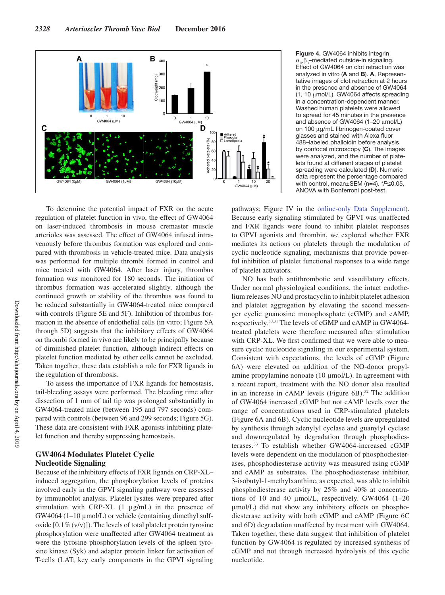

**Figure 4.** GW4064 inhibits integrin  $α<sub>IIb</sub>β<sub>3</sub>$ -mediated outside-in signaling. Effect of GW4064 on clot retraction was analyzed in vitro (**A** and **B**). **A**, Representative images of clot retraction at 2 hours in the presence and absence of GW4064 (1, 10 μmol/L). GW4064 affects spreading in a concentration-dependent manner. Washed human platelets were allowed to spread for 45 minutes in the presence and absence of GW4064 (1–20 μmol/L) on 100 μg/mL fibrinogen-coated cover glasses and stained with Alexa fluor 488–labeled phalloidin before analysis by confocal microscopy (**C**). The images were analyzed, and the number of platelets found at different stages of platelet spreading were calculated (**D**). Numeric data represent the percentage compared with control, mean±SEM (n=4). \**P*≤0.05, ANOVA with Bonferroni post-test.

To determine the potential impact of FXR on the acute regulation of platelet function in vivo, the effect of GW4064 on laser-induced thrombosis in mouse cremaster muscle arterioles was assessed. The effect of GW4064 infused intravenously before thrombus formation was explored and compared with thrombosis in vehicle-treated mice. Data analysis was performed for multiple thrombi formed in control and mice treated with GW4064. After laser injury, thrombus formation was monitored for 180 seconds. The initiation of thrombus formation was accelerated slightly, although the continued growth or stability of the thrombus was found to be reduced substantially in GW4064-treated mice compared with controls (Figure 5E and 5F). Inhibition of thrombus formation in the absence of endothelial cells (in vitro; Figure 5A through 5D) suggests that the inhibitory effects of GW4064 on thrombi formed in vivo are likely to be principally because of diminished platelet function, although indirect effects on platelet function mediated by other cells cannot be excluded. Taken together, these data establish a role for FXR ligands in the regulation of thrombosis.

To assess the importance of FXR ligands for hemostasis, tail-bleeding assays were performed. The bleeding time after dissection of 1 mm of tail tip was prolonged substantially in GW4064-treated mice (between 195 and 797 seconds) compared with controls (between 96 and 299 seconds; Figure 5G). These data are consistent with FXR agonists inhibiting platelet function and thereby suppressing hemostasis.

## **GW4064 Modulates Platelet Cyclic Nucleotide Signaling**

Because of the inhibitory effects of FXR ligands on CRP-XL– induced aggregation, the phosphorylation levels of proteins involved early in the GPVI signaling pathway were assessed by immunoblot analysis. Platelet lysates were prepared after stimulation with CRP-XL  $(1 \mu g/mL)$  in the presence of GW4064 (1–10 μmol/L) or vehicle (containing dimethyl sulfoxide  $[0.1\% (v/v)]$ ). The levels of total platelet protein tyrosine phosphorylation were unaffected after GW4064 treatment as were the tyrosine phosphorylation levels of the spleen tyrosine kinase (Syk) and adapter protein linker for activation of T-cells (LAT; key early components in the GPVI signaling

pathways; Figure IV in the online-only Data Supplement). Because early signaling stimulated by GPVI was unaffected and FXR ligands were found to inhibit platelet responses to GPVI agonists and thrombin, we explored whether FXR mediates its actions on platelets through the modulation of cyclic nucleotide signaling, mechanisms that provide powerful inhibition of platelet functional responses to a wide range of platelet activators.

NO has both antithrombotic and vasodilatory effects. Under normal physiological conditions, the intact endothelium releases NO and prostacyclin to inhibit platelet adhesion and platelet aggregation by elevating the second messenger cyclic guanosine monophosphate (cGMP) and cAMP, respectively.30,31 The levels of cGMP and cAMP in GW4064 treated platelets were therefore measured after stimulation with CRP-XL. We first confirmed that we were able to measure cyclic nucleotide signaling in our experimental system. Consistent with expectations, the levels of cGMP (Figure 6A) were elevated on addition of the NO-donor propylamine propylamine nonoate (10 μmol/L). In agreement with a recent report, treatment with the NO donor also resulted in an increase in cAMP levels (Figure  $6B$ ).<sup>32</sup> The addition of GW4064 increased cGMP but not cAMP levels over the range of concentrations used in CRP-stimulated platelets (Figure 6A and 6B). Cyclic nucleotide levels are upregulated by synthesis through adenylyl cyclase and guanylyl cyclase and downregulated by degradation through phosphodiesterases. 33 To establish whether GW4064-increased cGMP levels were dependent on the modulation of phosphodiesterases, phosphodiesterase activity was measured using cGMP and cAMP as substrates. The phosphodiesterase inhibitor, 3-isobutyl-1-methylxanthine, as expected, was able to inhibit phosphodiesterase activity by 25% and 40% at concentrations of 10 and 40 μmol/L, respectively. GW4064 (1–20 μmol/L) did not show any inhibitory effects on phosphodiesterase activity with both cGMP and cAMP (Figure 6C and 6D) degradation unaffected by treatment with GW4064. Taken together, these data suggest that inhibition of platelet function by GW4064 is regulated by increased synthesis of cGMP and not through increased hydrolysis of this cyclic nucleotide.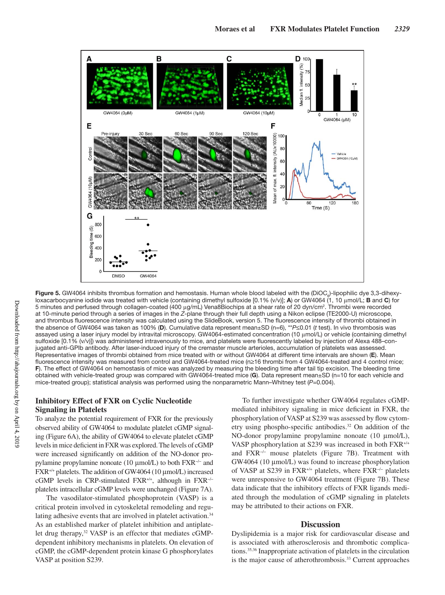

**Figure 5.** GW4064 inhibits thrombus formation and hemostasis. Human whole blood labeled with the (DiOC<sub>6</sub>)-lipophilic dye 3,3-dihexyloxacarbocyanine iodide was treated with vehicle (containing dimethyl sulfoxide [0.1% (v/v)]; **A**) or GW4064 (1, 10 μmol/L; **B** and **C**) for 5 minutes and perfused through collagen-coated (400 μg/mL) Vena8Biochips at a shear rate of 20 dyn/cm<sup>2</sup>. Thrombi were recorded at 10-minute period through a series of images in the *Z*-plane through their full depth using a Nikon eclipse (TE2000-U) microscope, and thrombus fluorescence intensity was calculated using the SlideBook, version 5. The fluorescence intensity of thrombi obtained in the absence of GW4064 was taken as 100% (**D**). Cumulative data represent mean±SD (n=6), \*\**P*≤0.01 (*t* test). In vivo thrombosis was assayed using a laser injury model by intravital microscopy. GW4064-estimated concentration (10 μmol/L) or vehicle (containing dimethyl sulfoxide [0.1% (v/v)]) was administered intravenously to mice, and platelets were fluorescently labeled by injection of Alexa 488-conjugated anti-GPIb antibody. After laser-induced injury of the cremaster muscle arterioles, accumulation of platelets was assessed. Representative images of thrombi obtained from mice treated with or without GW4064 at different time intervals are shown (**E**). Mean fluorescence intensity was measured from control and GW4064-treated mice (n≥16 thrombi from 4 GW4064-treated and 4 control mice; **F**). The effect of GW4064 on hemostasis of mice was analyzed by measuring the bleeding time after tail tip excision. The bleeding time obtained with vehicle-treated group was compared with GW4064-treated mice (**G**). Data represent mean±SD (n=10 for each vehicle and mice-treated group); statistical analysis was performed using the nonparametric Mann–Whitney test (*P*=0.004).

# **Inhibitory Effect of FXR on Cyclic Nucleotide Signaling in Platelets**

To analyze the potential requirement of FXR for the previously observed ability of GW4064 to modulate platelet cGMP signaling (Figure 6A), the ability of GW4064 to elevate platelet cGMP levels in mice deficient in FXR was explored. The levels of cGMP were increased significantly on addition of the NO-donor propylamine propylamine nonoate (10 μmol/L) to both FXR−/− and FXR+/+ platelets. The addition of GW4064 (10 μmol/L) increased cGMP levels in CRP-stimulated FXR+/+, although in FXR−/− platelets intracellular cGMP levels were unchanged (Figure 7A).

The vasodilator-stimulated phosphoprotein (VASP) is a critical protein involved in cytoskeletal remodeling and regulating adhesive events that are involved in platelet activation.<sup>34</sup> As an established marker of platelet inhibition and antiplatelet drug therapy,<sup>32</sup> VASP is an effector that mediates cGMPdependent inhibitory mechanisms in platelets. On elevation of cGMP, the cGMP-dependent protein kinase G phosphorylates VASP at position S239.

To further investigate whether GW4064 regulates cGMPmediated inhibitory signaling in mice deficient in FXR, the phosphorylation of VASP at S239 was assessed by flow cytometry using phospho-specific antibodies.32 On addition of the NO-donor propylamine propylamine nonoate (10 μmol/L), VASP phosphorylation at S239 was increased in both FXR+/+ and FXR−/− mouse platelets (Figure 7B). Treatment with GW4064 (10 μmol/L) was found to increase phosphorylation of VASP at S239 in FXR+/+ platelets, where FXR−/− platelets were unresponsive to GW4064 treatment (Figure 7B). These data indicate that the inhibitory effects of FXR ligands mediated through the modulation of cGMP signaling in platelets may be attributed to their actions on FXR.

### **Discussion**

Dyslipidemia is a major risk for cardiovascular disease and is associated with atherosclerosis and thrombotic complications.35,36 Inappropriate activation of platelets in the circulation is the major cause of atherothrombosis.<sup>33</sup> Current approaches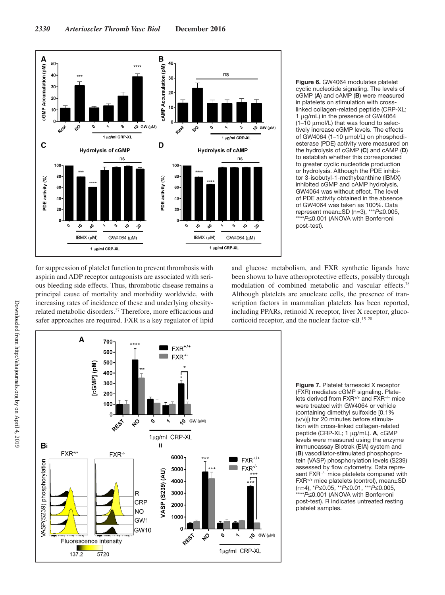

**Figure 6.** GW4064 modulates platelet cyclic nucleotide signaling. The levels of cGMP (**A**) and cAMP (**B**) were measured in platelets on stimulation with crosslinked collagen-related peptide (CRP-XL; 1 μg/mL) in the presence of GW4064 (1–10 μmol/L) that was found to selectively increase cGMP levels. The effects of GW4064 (1–10 μmol/L) on phosphodiesterase (PDE) activity were measured on the hydrolysis of cGMP (**C**) and cAMP (**D**) to establish whether this corresponded to greater cyclic nucleotide production or hydrolysis. Although the PDE inhibitor 3-isobutyl-1-methylxanthine (IBMX) inhibited cGMP and cAMP hydrolysis, GW4064 was without effect. The level of PDE activity obtained in the absence of GW4064 was taken as 100%. Data represent mean±SD (n=3), \*\*\**P*≤0.005, \*\*\*\**P*≤0.001 (ANOVA with Bonferroni post-test).

for suppression of platelet function to prevent thrombosis with aspirin and ADP receptor antagonists are associated with serious bleeding side effects. Thus, thrombotic disease remains a principal cause of mortality and morbidity worldwide, with increasing rates of incidence of these and underlying obesityrelated metabolic disorders.<sup>37</sup> Therefore, more efficacious and safer approaches are required. FXR is a key regulator of lipid and glucose metabolism, and FXR synthetic ligands have been shown to have atheroprotective effects, possibly through modulation of combined metabolic and vascular effects.38 Although platelets are anucleate cells, the presence of transcription factors in mammalian platelets has been reported, including PPARs, retinoid X receptor, liver X receptor, glucocorticoid receptor, and the nuclear factor-κB.15–20



**Figure 7.** Platelet farnesoid X receptor (FXR) mediates cGMP signaling. Platelets derived from FXR+/+ and FXR−/− mice were treated with GW4064 or vehicle (containing dimethyl sulfoxide [0.1% (v/v)]) for 20 minutes before stimulation with cross-linked collagen-related peptide (CRP-XL; 1 μg/mL). **A**, cGMP levels were measured using the enzyme immunoassay Biotrak (EIA) system and (**B**) vasodilator-stimulated phosphoprotein (VASP) phosphorylation levels (S239) assessed by flow cytometry. Data represent FXR<sup>-/-</sup> mice platelets compared with FXR+/+ mice platelets (control), mean±SD (n=4), \**P*≤0.05, \*\**P*≤0.01, \*\*\**P*≤0.005, \*\*\*\**P*≤0.001 (ANOVA with Bonferroni post-test). R indicates untreated resting platelet samples.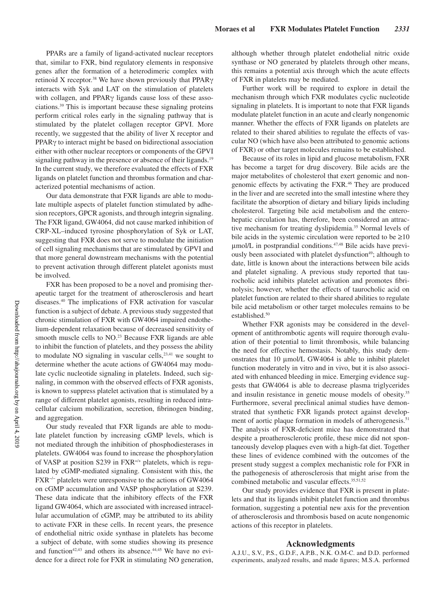PPARs are a family of ligand-activated nuclear receptors that, similar to FXR, bind regulatory elements in responsive genes after the formation of a heterodimeric complex with retinoid X receptor.<sup>38</sup> We have shown previously that PPARγ interacts with Syk and LAT on the stimulation of platelets with collagen, and PPARγ ligands cause loss of these associations.39 This is important because these signaling proteins perform critical roles early in the signaling pathway that is stimulated by the platelet collagen receptor GPVI. More recently, we suggested that the ability of liver X receptor and PPARγ to interact might be based on bidirectional association either with other nuclear receptors or components of the GPVI signaling pathway in the presence or absence of their ligands.<sup>19</sup> In the current study, we therefore evaluated the effects of FXR ligands on platelet function and thrombus formation and characterized potential mechanisms of action.

Our data demonstrate that FXR ligands are able to modulate multiple aspects of platelet function stimulated by adhesion receptors, GPCR agonists, and through integrin signaling. The FXR ligand, GW4064, did not cause marked inhibition of CRP-XL–induced tyrosine phosphorylation of Syk or LAT, suggesting that FXR does not serve to modulate the initiation of cell signaling mechanisms that are stimulated by GPVI and that more general downstream mechanisms with the potential to prevent activation through different platelet agonists must be involved.

FXR has been proposed to be a novel and promising therapeutic target for the treatment of atherosclerosis and heart diseases.40 The implications of FXR activation for vascular function is a subject of debate. A previous study suggested that chronic stimulation of FXR with GW4064 impaired endothelium-dependent relaxation because of decreased sensitivity of smooth muscle cells to NO.<sup>23</sup> Because FXR ligands are able to inhibit the function of platelets, and they possess the ability to modulate NO signaling in vascular cells, $23,41$  we sought to determine whether the acute actions of GW4064 may modulate cyclic nucleotide signaling in platelets. Indeed, such signaling, in common with the observed effects of FXR agonists, is known to suppress platelet activation that is stimulated by a range of different platelet agonists, resulting in reduced intracellular calcium mobilization, secretion, fibrinogen binding, and aggregation.

Our study revealed that FXR ligands are able to modulate platelet function by increasing cGMP levels, which is not mediated through the inhibition of phosphodiesterases in platelets. GW4064 was found to increase the phosphorylation of VASP at position S239 in FXR+/+ platelets, which is regulated by cGMP-mediated signaling. Consistent with this, the FXR−/− platelets were unresponsive to the actions of GW4064 on cGMP accumulation and VASP phosphorylation at S239. These data indicate that the inhibitory effects of the FXR ligand GW4064, which are associated with increased intracellular accumulation of cGMP, may be attributed to its ability to activate FXR in these cells. In recent years, the presence of endothelial nitric oxide synthase in platelets has become a subject of debate, with some studies showing its presence and function<sup>42,43</sup> and others its absence.<sup>44,45</sup> We have no evidence for a direct role for FXR in stimulating NO generation, although whether through platelet endothelial nitric oxide synthase or NO generated by platelets through other means, this remains a potential axis through which the acute effects of FXR in platelets may be mediated.

Further work will be required to explore in detail the mechanism through which FXR modulates cyclic nucleotide signaling in platelets. It is important to note that FXR ligands modulate platelet function in an acute and clearly nongenomic manner. Whether the effects of FXR ligands on platelets are related to their shared abilities to regulate the effects of vascular NO (which have also been attributed to genomic actions of FXR) or other target molecules remains to be established.

Because of its roles in lipid and glucose metabolism, FXR has become a target for drug discovery. Bile acids are the major metabolites of cholesterol that exert genomic and nongenomic effects by activating the FXR.46 They are produced in the liver and are secreted into the small intestine where they facilitate the absorption of dietary and biliary lipids including cholesterol. Targeting bile acid metabolism and the enterohepatic circulation has, therefore, been considered an attractive mechanism for treating dyslipidemia.35 Normal levels of bile acids in the systemic circulation were reported to be  $\geq 10$ μmol/L in postprandial conditions.47,48 Bile acids have previously been associated with platelet dysfunction<sup>49</sup>; although to date, little is known about the interactions between bile acids and platelet signaling. A previous study reported that taurocholic acid inhibits platelet activation and promotes fibrinolysis; however, whether the effects of taurocholic acid on platelet function are related to their shared abilities to regulate bile acid metabolism or other target molecules remains to be established.<sup>50</sup>

Whether FXR agonists may be considered in the development of antithrombotic agents will require thorough evaluation of their potential to limit thrombosis, while balancing the need for effective hemostasis. Notably, this study demonstrates that 10 μmol/L GW4064 is able to inhibit platelet function moderately in vitro and in vivo, but it is also associated with enhanced bleeding in mice. Emerging evidence suggests that GW4064 is able to decrease plasma triglycerides and insulin resistance in genetic mouse models of obesity.<sup>35</sup> Furthermore, several preclinical animal studies have demonstrated that synthetic FXR ligands protect against development of aortic plaque formation in models of atherogenesis.<sup>51</sup> The analysis of FXR-deficient mice has demonstrated that despite a proatherosclerotic profile, these mice did not spontaneously develop plaques even with a high-fat diet. Together these lines of evidence combined with the outcomes of the present study suggest a complex mechanistic role for FXR in the pathogenesis of atherosclerosis that might arise from the combined metabolic and vascular effects.<sup>35,51,52</sup>

Our study provides evidence that FXR is present in platelets and that its ligands inhibit platelet function and thrombus formation, suggesting a potential new axis for the prevention of atherosclerosis and thrombosis based on acute nongenomic actions of this receptor in platelets.

#### **Acknowledgments**

A.J.U., S.V., P.S., G.D.F., A.P.B., N.K. O.M-C. and D.D. performed experiments, analyzed results, and made figures; M.S.A. performed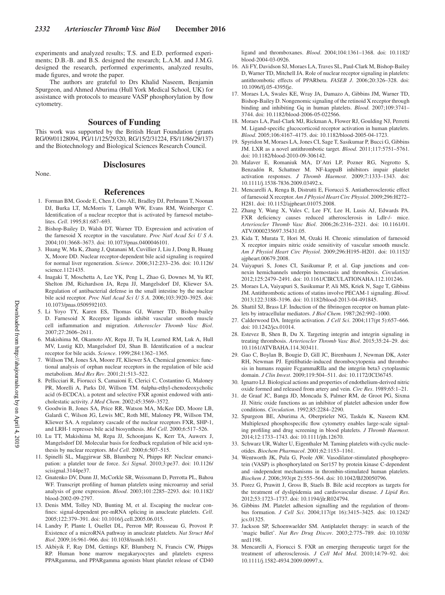experiments and analyzed results; T.S. and E.D. performed experiments; D.B.-B. and B.S. designed the research; L.A.M. and J.M.G. designed the research, performed experiments, analyzed results, made figures, and wrote the paper.

The authors are grateful to Drs Khalid Naseem, Benjamin Spurgeon, and Ahmed Aburima (Hull York Medical School, UK) for assistance with protocols to measure VASP phosphorylation by flow cytometry.

#### **Sources of Funding**

This work was supported by the British Heart Foundation (grants RG/09/01128094, PG/11/125/29320, RG/15/2/31224, FS/11/86/29/137) and the Biotechnology and Biological Sciences Research Council.

None.

# **Disclosures**

#### **References**

- 1. Forman BM, Goode E, Chen J, Oro AE, Bradley DJ, Perlmann T, Noonan DJ, Burka LT, McMorris T, Lamph WW, Evans RM, Weinberger C. Identification of a nuclear receptor that is activated by farnesol metabolites. *Cell*. 1995;81:687–693.
- 2. Bishop-Bailey D, Walsh DT, Warner TD. Expression and activation of the farnesoid X receptor in the vasculature. *Proc Natl Acad Sci U S A*. 2004;101:3668–3673. doi: 10.1073/pnas.0400046101.
- 3. Huang W, Ma K, Zhang J, Qatanani M, Cuvillier J, Liu J, Dong B, Huang X, Moore DD. Nuclear receptor-dependent bile acid signaling is required for normal liver regeneration. *Science*. 2006;312:233–236. doi: 10.1126/ science.1121435.
- 4. Inagaki T, Moschetta A, Lee YK, Peng L, Zhao G, Downes M, Yu RT, Shelton JM, Richardson JA, Repa JJ, Mangelsdorf DJ, Kliewer SA. Regulation of antibacterial defense in the small intestine by the nuclear bile acid receptor. *Proc Natl Acad Sci U S A*. 2006;103:3920–3925. doi: 10.1073/pnas.0509592103.
- 5. Li Yoyo TY, Karen ES, Thomas GJ, Warner TD, Bishop-bailey D. Farnesoid X Receptor ligands inhibit vascular smooth muscle cell inflammation and migration. *Atheroscler Thromb Vasc Biol*. 2007;27:2606–2611.
- 6. Makishima M, Okamoto AY, Repa JJ, Tu H, Learned RM, Luk A, Hull MV, Lustig KD, Mangelsdorf DJ, Shan B. Identification of a nuclear receptor for bile acids. *Science*. 1999;284:1362–1365.
- 7. Willson TM, Jones SA, Moore JT, Kliewer SA. Chemical genomics: functional analysis of orphan nuclear receptors in the regulation of bile acid metabolism. *Med Res Rev*. 2001;21:513–522.
- 8. Pellicciari R, Fiorucci S, Camaioni E, Clerici C, Costantino G, Maloney PR, Morelli A, Parks DJ, Willson TM. 6alpha-ethyl-chenodeoxycholic acid (6-ECDCA), a potent and selective FXR agonist endowed with anticholestatic activity. *J Med Chem*. 2002;45:3569–3572.
- 9. Goodwin B, Jones SA, Price RR, Watson MA, McKee DD, Moore LB, Galardi C, Wilson JG, Lewis MC, Roth ME, Maloney PR, Willson TM, Kliewer SA. A regulatory cascade of the nuclear receptors FXR, SHP-1, and LRH-1 represses bile acid biosynthesis. *Mol Cell*. 2000;6:517–526.
- 10. Lu TT, Makishima M, Repa JJ, Schoonjans K, Kerr TA, Auwerx J, Mangelsdorf DJ. Molecular basis for feedback regulation of bile acid synthesis by nuclear receptors. *Mol Cell*. 2000;6:507–515.
- 11. Spinelli SL, Maggirwar SB, Blumberg N, Phipps RP. Nuclear emancipation: a platelet tour de force. *Sci Signal*. 2010;3:pe37. doi: 10.1126/ scisignal.3144pe37.
- 12. Gnatenko DV, Dunn JJ, McCorkle SR, Weissmann D, Perrotta PL, Bahou WF. Transcript profiling of human platelets using microarray and serial analysis of gene expression. *Blood*. 2003;101:2285–2293. doi: 10.1182/ blood-2002-09-2797.
- 13. Denis MM, Tolley ND, Bunting M, et al. Escaping the nuclear confines: signal-dependent pre-mRNA splicing in anucleate platelets. *Cell*. 2005;122:379–391. doi: 10.1016/j.cell.2005.06.015.
- 14. Landry P, Plante I, Ouellet DL, Perron MP, Rousseau G, Provost P. Existence of a microRNA pathway in anucleate platelets. *Nat Struct Mol Biol*. 2009;16:961–966. doi: 10.1038/nsmb.1651.
- 15. Akbiyik F, Ray DM, Gettings KF, Blumberg N, Francis CW, Phipps RP. Human bone marrow megakaryocytes and platelets express PPARgamma, and PPARgamma agonists blunt platelet release of CD40

ligand and thromboxanes. *Blood*. 2004;104:1361–1368. doi: 10.1182/ blood-2004-03-0926.

- 16. Ali FY, Davidson SJ, Moraes LA, Traves SL, Paul-Clark M, Bishop-Bailey D, Warner TD, Mitchell JA. Role of nuclear receptor signaling in platelets: antithrombotic effects of PPARbeta. *FASEB J*. 2006;20:326–328. doi: 10.1096/fj.05-4395fje.
- 17. Moraes LA, Swales KE, Wray JA, Damazo A, Gibbins JM, Warner TD, Bishop-Bailey D. Nongenomic signaling of the retinoid X receptor through binding and inhibiting Gq in human platelets. *Blood*. 2007;109:3741– 3744. doi: 10.1182/blood-2006-05-022566.
- 18. Moraes LA, Paul-Clark MJ, Rickman A, Flower RJ, Goulding NJ, Perretti M. Ligand-specific glucocorticoid receptor activation in human platelets. *Blood*. 2005;106:4167–4175. doi: 10.1182/blood-2005-04-1723.
- 19. Spyridon M, Moraes LA, Jones CI, Sage T, Sasikumar P, Bucci G, Gibbins JM. LXR as a novel antithrombotic target. *Blood*. 2011;117:5751–5761. doi: 10.1182/blood-2010-09-306142.
- 20. Malaver E, Romaniuk MA, D'Atri LP, Pozner RG, Negrotto S, Benzadón R, Schattner M. NF-kappaB inhibitors impair platelet activation responses. *J Thromb Haemost*. 2009;7:1333–1343. doi: 10.1111/j.1538-7836.2009.03492.x.
- 21. Mencarelli A, Renga B, Distrutti E, Fiorucci S. Antiatherosclerotic effect of farnesoid X receptor. *Am J Physiol Heart Circ Physiol*. 2009;296:H272– H281. doi: 10.1152/ajpheart.01075.2008.
- 22. Zhang Y, Wang X, Vales C, Lee FY, Lee H, Lusis AJ, Edwards PA. FXR deficiency causes reduced atherosclerosis in Ldlr-/- mice. *Arterioscler Thromb Vasc Biol*. 2006;26:2316–2321. doi: 10.1161/01. ATV.0000235697.35431.05.
- 23. Kida T, Murata T, Hori M, Ozaki H. Chronic stimulation of farnesoid X receptor impairs nitric oxide sensitivity of vascular smooth muscle. *Am J Physiol Heart Circ Physiol*. 2009;296:H195–H201. doi: 10.1152/ ajpheart.00679.2008.
- 24. Vaiyapuri S, Jones CI, Sasikumar P, et al. Gap junctions and connexin hemichannels underpin hemostasis and thrombosis. *Circulation*. 2012;125:2479–2491. doi: 10.1161/CIRCULATIONAHA.112.101246.
- 25. Moraes LA, Vaiyapuri S, Sasikumar P, Ali MS, Kriek N, Sage T, Gibbins JM. Antithrombotic actions of statins involve PECAM-1 signaling. *Blood*. 2013;122:3188–3196. doi: 10.1182/blood-2013-04-491845.
- 26. Shattil SJ, Brass LF. Induction of the fibrinogen receptor on human platelets by intracellular mediators. *J Biol Chem*. 1987;262:992–1000.
- 27. Calderwood DA. Integrin activation. *J Cell Sci*. 2004;117(pt 5):657–666. doi: 10.1242/jcs.01014.
- 28. Estevez B, Shen B, Du X. Targeting integrin and integrin signaling in treating thrombosis. *Arterioscler Thromb Vasc Biol*. 2015;35:24–29. doi: 10.1161/ATVBAHA.114.303411.
- 29. Gao C, Boylan B, Bougie D, Gill JC, Birenbaum J, Newman DK, Aster RH, Newman PJ. Eptifibatide-induced thrombocytopenia and thrombosis in humans require FcgammaRIIa and the integrin beta3 cytoplasmic domain. *J Clin Invest*. 2009;119:504–511. doi: 10.1172/JCI36745.
- 30. Ignarro LJ. Biological actions and properties of endothelium-derived nitric oxide formed and released from artery and vein. *Circ Res*. 1989;65:1–21.
- 31. de Graaf JC, Banga JD, Moncada S, Palmer RM, de Groot PG, Sixma JJ. Nitric oxide functions as an inhibitor of platelet adhesion under flow conditions. *Circulation*. 1992;85:2284–2290.
- 32. Spurgeon BE, Aburima A, Oberprieler NG, Taskén K, Naseem KM. Multiplexed phosphospecific flow cytometry enables large-scale signaling profiling and drug screening in blood platelets. *J Thromb Haemost*. 2014;12:1733–1743. doi: 10.1111/jth.12670.
- 33. Schwarz UR, Walter U, Eigenthaler M. Taming platelets with cyclic nucleotides. *Biochem Pharmacol*. 2001;62:1153–1161.
- 34. Wentworth JK, Pula G, Poole AW. Vasodilator-stimulated phosphoprotein (VASP) is phosphorylated on Ser157 by protein kinase C-dependent and -independent mechanisms in thrombin-stimulated human platelets. *Biochem J*. 2006;393(pt 2):555–564. doi: 10.1042/BJ20050796.
- 35. Porez G, Prawitt J, Gross B, Staels B. Bile acid receptors as targets for the treatment of dyslipidemia and cardiovascular disease. *J Lipid Res*. 2012;53:1723–1737. doi: 10.1194/jlr.R024794.
- 36. Gibbins JM. Platelet adhesion signalling and the regulation of thrombus formation. *J Cell Sci*. 2004;117(pt 16):3415–3425. doi: 10.1242/ jcs.01325.
- 37. Jackson SP, Schoenwaelder SM. Antiplatelet therapy: in search of the 'magic bullet'. *Nat Rev Drug Discov*. 2003;2:775–789. doi: 10.1038/ nrd1198.
- 38. Mencarelli A, Fiorucci S. FXR an emerging therapeutic target for the treatment of atherosclerosis. *J Cell Mol Med*. 2010;14:79–92. doi: 10.1111/j.1582-4934.2009.00997.x.